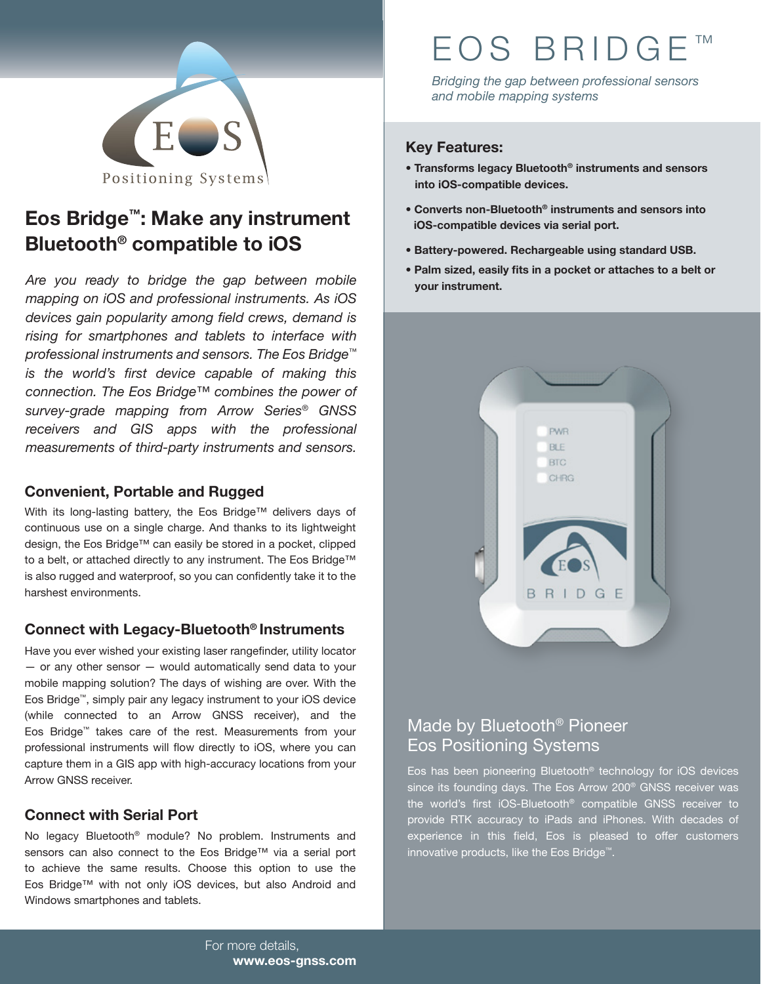

# **Eos Bridge™: Make any instrument Bluetooth® compatible to iOS**

*Are you ready to bridge the gap between mobile mapping on iOS and professional instruments. As iOS devices gain popularity among field crews, demand is rising for smartphones and tablets to interface with professional instruments and sensors. The Eos Bridge™ is the world's first device capable of making this connection. The Eos Bridge™ combines the power of survey-grade mapping from Arrow Series® GNSS receivers and GIS apps with the professional measurements of third-party instruments and sensors.* 

#### **Convenient, Portable and Rugged**

With its long-lasting battery, the Eos Bridge™ delivers days of continuous use on a single charge. And thanks to its lightweight design, the Eos Bridge™ can easily be stored in a pocket, clipped to a belt, or attached directly to any instrument. The Eos Bridge™ is also rugged and waterproof, so you can confidently take it to the harshest environments.

#### **Connect with Legacy-Bluetooth® Instruments**

Have you ever wished your existing laser rangefinder, utility locator — or any other sensor — would automatically send data to your mobile mapping solution? The days of wishing are over. With the Eos Bridge™, simply pair any legacy instrument to your iOS device (while connected to an Arrow GNSS receiver), and the Eos Bridge™ takes care of the rest. Measurements from your professional instruments will flow directly to iOS, where you can capture them in a GIS app with high-accuracy locations from your Arrow GNSS receiver.

#### **Connect with Serial Port**

No legacy Bluetooth® module? No problem. Instruments and sensors can also connect to the Eos Bridge™ via a serial port to achieve the same results. Choose this option to use the Eos Bridge™ with not only iOS devices, but also Android and Windows smartphones and tablets.

# EOS BRIDG

*Bridging the gap between professional sensors and mobile mapping systems*

#### **Key Features:**

- **� Transforms legacy Bluetooth® instruments and sensors into iOS-compatible devices.**
- **� Converts non-Bluetooth® instruments and sensors into iOS-compatible devices via serial port.**
- **� Battery-powered. Rechargeable using standard USB.**
- **� Palm sized, easily fits in a pocket or attaches to a belt or your instrument.**



## Made by Bluetooth® Pioneer Eos Positioning Systems

Eos has been pioneering Bluetooth® technology for iOS devices since its founding days. The Eos Arrow 200<sup>®</sup> GNSS receiver was the world's first iOS-Bluetooth® compatible GNSS receiver to provide RTK accuracy to iPads and iPhones. With decades of experience in this field, Eos is pleased to offer customers innovative products, like the Eos Bridge™.